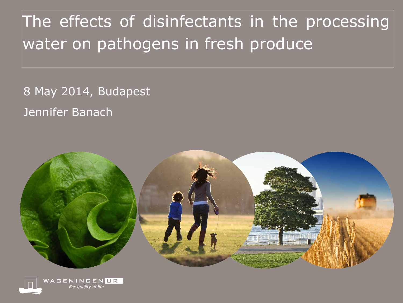The effects of disinfectants in the processing water on pathogens in fresh produce

8 May 2014, Budapest Jennifer Banach



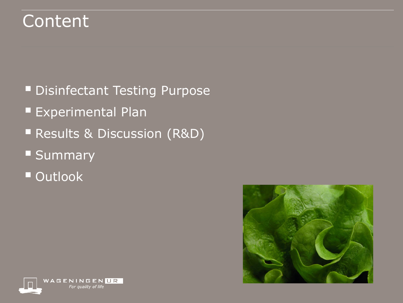### Content

- **Disinfectant Testing Purpose**
- **Experimental Plan**
- **Results & Discussion (R&D)**
- **Summary**
- **Outlook**



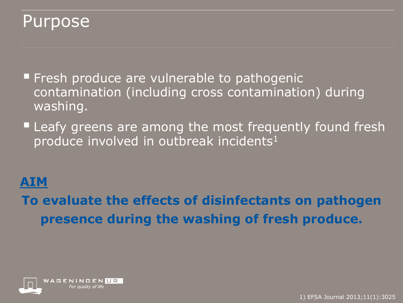#### Purpose

- **Fresh produce are vulnerable to pathogenic** contamination (including cross contamination) during washing.
- **Leafy greens are among the most frequently found fresh** produce involved in outbreak incidents<sup>1</sup>

#### **AIM**

**To evaluate the effects of disinfectants on pathogen presence during the washing of fresh produce.**

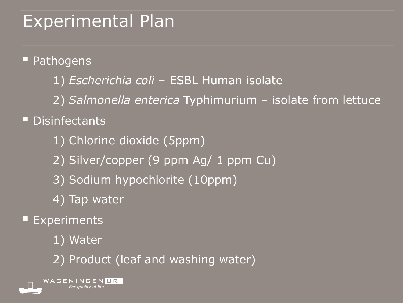# Experimental Plan

**Pathogens** 

- 1) *Escherichia coli*  ESBL Human isolate
- 2) *Salmonella enterica* Typhimurium isolate from lettuce

#### **Disinfectants**

- 1) Chlorine dioxide (5ppm)
- 2) Silver/copper (9 ppm Ag/ 1 ppm Cu)
- 3) Sodium hypochlorite (10ppm)
- 4) Tap water
- Experiments
	- 1) Water
	- 2) Product (leaf and washing water)

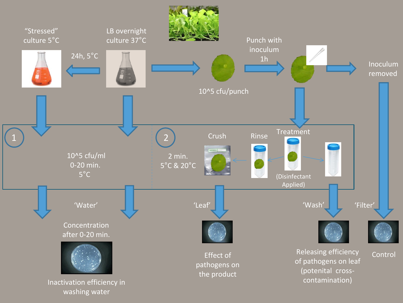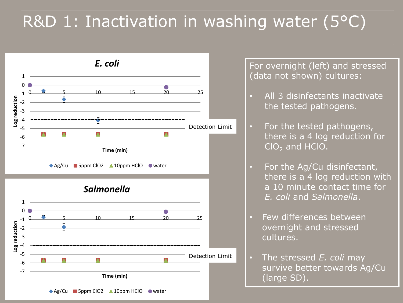# R&D 1: Inactivation in washing water (5°C)



**Time (min)**

◆ Ag/Cu 5ppm ClO2 ▲ 10ppm HClO ● water

For overnight (left) and stressed (data not shown) cultures:

- All 3 disinfectants inactivate the tested pathogens.
- For the tested pathogens, there is a 4 log reduction for  $ClO<sub>2</sub>$  and HClO.
- For the Ag/Cu disinfectant, there is a 4 log reduction with a 10 minute contact time for *E. coli* and *Salmonella*.
- Few differences between overnight and stressed cultures.
- The stressed *E. coli* may survive better towards Ag/Cu (large SD).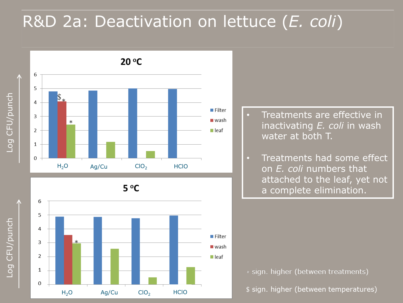### R&D 2a: Deactivation on lettuce (*E. coli*)



- Treatments are effective in inactivating *E. coli* in wash water at both T.
- Treatments had some effect on *E. coli* numbers that attached to the leaf, yet not a complete elimination.

\* sign. higher (between treatments)

\$ sign. higher (between temperatures)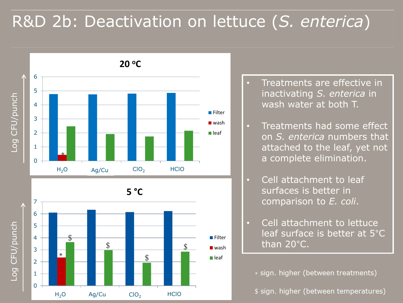### R&D 2b: Deactivation on lettuce (*S. enterica*)



- Treatments are effective in inactivating *S. enterica* in wash water at both T.
- Treatments had some effect on *S. enterica* numbers that attached to the leaf, yet not a complete elimination.
- Cell attachment to leaf surfaces is better in comparison to *E. coli*.
- Cell attachment to lettuce leaf surface is better at 5°C than 20°C.

\* sign. higher (between treatments)

\$ sign. higher (between temperatures)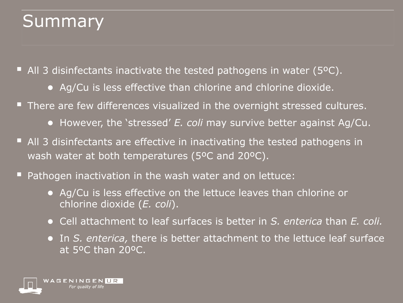# **Summary**

■ All 3 disinfectants inactivate the tested pathogens in water (5°C).

- Ag/Cu is less effective than chlorine and chlorine dioxide.
- **There are few differences visualized in the overnight stressed cultures.** 
	- However, the 'stressed' *E. coli* may survive better against Ag/Cu.
- All 3 disinfectants are effective in inactivating the tested pathogens in wash water at both temperatures (5ºC and 20ºC).
- Pathogen inactivation in the wash water and on lettuce:
	- Ag/Cu is less effective on the lettuce leaves than chlorine or chlorine dioxide (*E. coli*).
	- Cell attachment to leaf surfaces is better in *S. enterica* than *E. coli.*
	- In *S. enterica,* there is better attachment to the lettuce leaf surface at 5ºC than 20ºC.

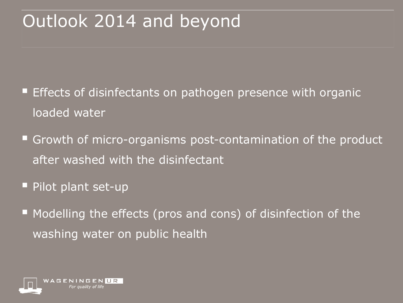# Outlook 2014 and beyond

- Effects of disinfectants on pathogen presence with organic loaded water
- **Growth of micro-organisms post-contamination of the product** after washed with the disinfectant
- Pilot plant set-up
- **Modelling the effects (pros and cons) of disinfection of the** washing water on public health